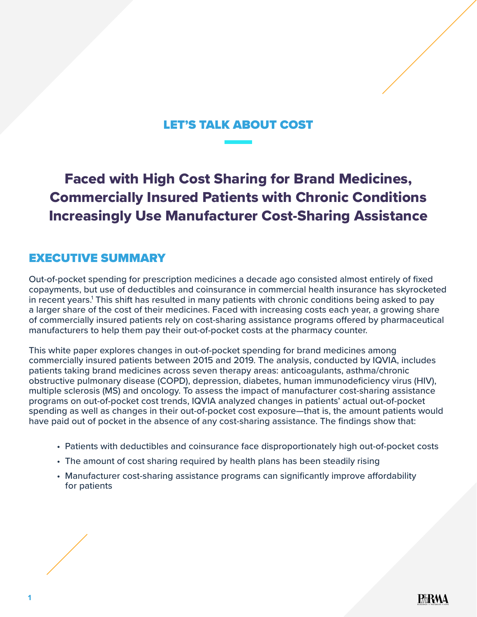## LET'S TALK ABOUT COST

# Faced with High Cost Sharing for Brand Medicines, Commercially Insured Patients with Chronic Conditions Increasingly Use Manufacturer Cost-Sharing Assistance

## EXECUTIVE SUMMARY

Out-of-pocket spending for prescription medicines a decade ago consisted almost entirely of fixed copayments, but use of deductibles and coinsurance in commercial health insurance has skyrocketed in recent years.<sup>1</sup> This shift has resulted in many patients with chronic conditions being asked to pay a larger share of the cost of their medicines. Faced with increasing costs each year, a growing share of commercially insured patients rely on cost-sharing assistance programs offered by pharmaceutical manufacturers to help them pay their out-of-pocket costs at the pharmacy counter.

This white paper explores changes in out-of-pocket spending for brand medicines among commercially insured patients between 2015 and 2019. The analysis, conducted by IQVIA, includes patients taking brand medicines across seven therapy areas: anticoagulants, asthma/chronic obstructive pulmonary disease (COPD), depression, diabetes, human immunodeficiency virus (HIV), multiple sclerosis (MS) and oncology. To assess the impact of manufacturer cost-sharing assistance programs on out-of-pocket cost trends, IQVIA analyzed changes in patients' actual out-of-pocket spending as well as changes in their out-of-pocket cost exposure—that is, the amount patients would have paid out of pocket in the absence of any cost-sharing assistance. The findings show that:

- Patients with deductibles and coinsurance face disproportionately high out-of-pocket costs
- The amount of cost sharing required by health plans has been steadily rising
- Manufacturer cost-sharing assistance programs can significantly improve affordability for patients

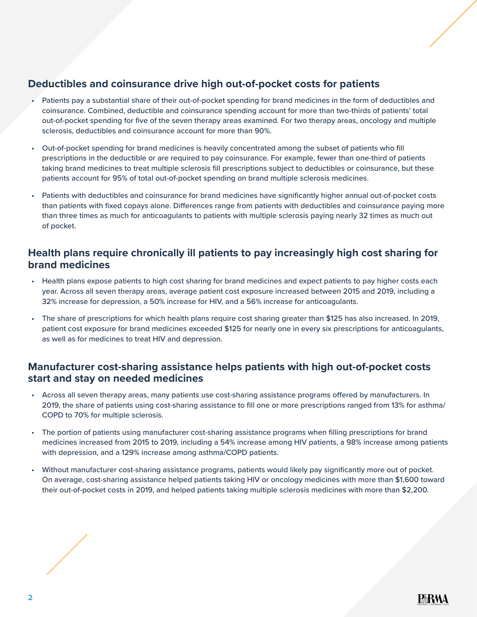### **Deductibles and coinsurance drive high out-of-pocket costs for patients**

- Patients pay a substantial share of their out-of-pocket spending for brand medicines in the form of deductibles and coinsurance. Combined, deductible and coinsurance spending account for more than two-thirds of patients' total out-of-pocket spending for five of the seven therapy areas examined. For two therapy areas, oncology and multiple sclerosis, deductibles and coinsurance account for more than 90%.
- Out-of-pocket spending for brand medicines is heavily concentrated among the subset of patients who fill prescriptions in the deductible or are required to pay coinsurance. For example, fewer than one-third of patients taking brand medicines to treat multiple sclerosis fill prescriptions subject to deductibles or coinsurance, but these patients account for 95% of total out-of-pocket spending on brand multiple sclerosis medicines.
- Patients with deductibles and coinsurance for brand medicines have significantly higher annual out-of-pocket costs than patients with fixed copays alone. Differences range from patients with deductibles and coinsurance paying more than three times as much for anticoagulants to patients with multiple sclerosis paying nearly 32 times as much out of pocket.

### **Health plans require chronically ill patients to pay increasingly high cost sharing for brand medicines**

- Health plans expose patients to high cost sharing for brand medicines and expect patients to pay higher costs each year. Across all seven therapy areas, average patient cost exposure increased between 2015 and 2019, including a 32% increase for depression, a 50% increase for HIV, and a 56% increase for anticoagulants.
- The share of prescriptions for which health plans require cost sharing greater than \$125 has also increased. In 2019, patient cost exposure for brand medicines exceeded \$125 for nearly one in every six prescriptions for anticoagulants, as well as for medicines to treat HIV and depression.

### **Manufacturer cost-sharing assistance helps patients with high out-of-pocket costs start and stay on needed medicines**

- Across all seven therapy areas, many patients use cost-sharing assistance programs offered by manufacturers. In 2019, the share of patients using cost-sharing assistance to fill one or more prescriptions ranged from 13% for asthma/ COPD to 70% for multiple sclerosis.
- The portion of patients using manufacturer cost-sharing assistance programs when filling prescriptions for brand medicines increased from 2015 to 2019, including a 54% increase among HIV patients, a 98% increase among patients with depression, and a 129% increase among asthma/COPD patients.
- Without manufacturer cost-sharing assistance programs, patients would likely pay significantly more out of pocket. On average, cost-sharing assistance helped patients taking HIV or oncology medicines with more than \$1,600 toward their out-of-pocket costs in 2019, and helped patients taking multiple sclerosis medicines with more than \$2,200.

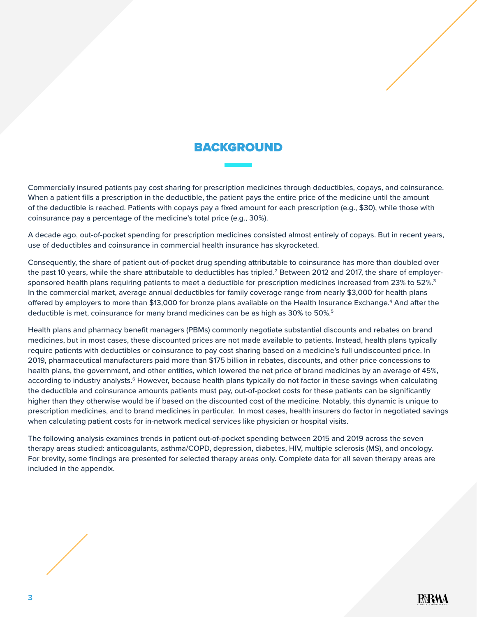## BACKGROUND

Commercially insured patients pay cost sharing for prescription medicines through deductibles, copays, and coinsurance. When a patient fills a prescription in the deductible, the patient pays the entire price of the medicine until the amount of the deductible is reached. Patients with copays pay a fixed amount for each prescription (e.g., \$30), while those with coinsurance pay a percentage of the medicine's total price (e.g., 30%).

A decade ago, out-of-pocket spending for prescription medicines consisted almost entirely of copays. But in recent years, use of deductibles and coinsurance in commercial health insurance has skyrocketed.

Consequently, the share of patient out-of-pocket drug spending attributable to coinsurance has more than doubled over the past 10 years, while the share attributable to deductibles has tripled.<sup>2</sup> Between 2012 and 2017, the share of employersponsored health plans requiring patients to meet a deductible for prescription medicines increased from 23% to 52%.<sup>3</sup> In the commercial market, average annual deductibles for family coverage range from nearly \$3,000 for health plans offered by employers to more than \$13,000 for bronze plans available on the Health Insurance Exchange.<sup>4</sup> And after the deductible is met, coinsurance for many brand medicines can be as high as 30% to 50%.5

Health plans and pharmacy benefit managers (PBMs) commonly negotiate substantial discounts and rebates on brand medicines, but in most cases, these discounted prices are not made available to patients. Instead, health plans typically require patients with deductibles or coinsurance to pay cost sharing based on a medicine's full undiscounted price. In 2019, pharmaceutical manufacturers paid more than \$175 billion in rebates, discounts, and other price concessions to health plans, the government, and other entities, which lowered the net price of brand medicines by an average of 45%, according to industry analysts.<sup>6</sup> However, because health plans typically do not factor in these savings when calculating the deductible and coinsurance amounts patients must pay, out-of-pocket costs for these patients can be significantly higher than they otherwise would be if based on the discounted cost of the medicine. Notably, this dynamic is unique to prescription medicines, and to brand medicines in particular. In most cases, health insurers do factor in negotiated savings when calculating patient costs for in-network medical services like physician or hospital visits.

The following analysis examines trends in patient out-of-pocket spending between 2015 and 2019 across the seven therapy areas studied: anticoagulants, asthma/COPD, depression, diabetes, HIV, multiple sclerosis (MS), and oncology. For brevity, some findings are presented for selected therapy areas only. Complete data for all seven therapy areas are included in the appendix.

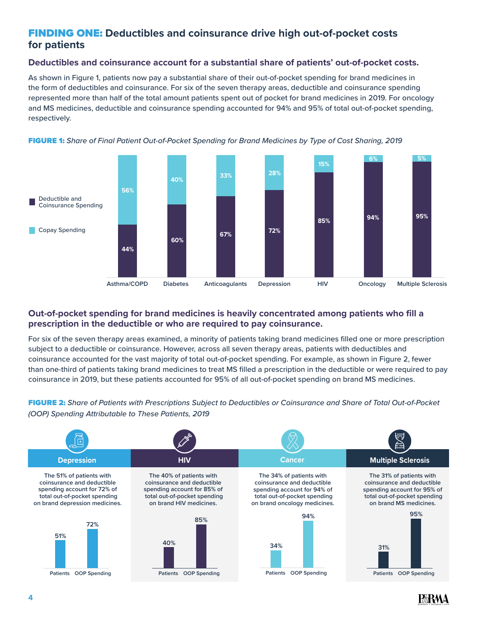### FINDING ONE: **Deductibles and coinsurance drive high out-of-pocket costs for patients**

#### **Deductibles and coinsurance account for a substantial share of patients' out-of-pocket costs.**

As shown in Figure 1, patients now pay a substantial share of their out-of-pocket spending for brand medicines in the form of deductibles and coinsurance. For six of the seven therapy areas, deductible and coinsurance spending represented more than half of the total amount patients spent out of pocket for brand medicines in 2019. For oncology and MS medicines, deductible and coinsurance spending accounted for 94% and 95% of total out-of-pocket spending, respectively.



FIGURE 1: *Share of Final Patient Out-of-Pocket Spending for Brand Medicines by Type of Cost Sharing, 2019*

### **Out-of-pocket spending for brand medicines is heavily concentrated among patients who fill a prescription in the deductible or who are required to pay coinsurance.**

For six of the seven therapy areas examined, a minority of patients taking brand medicines filled one or more prescription subject to a deductible or coinsurance. However, across all seven therapy areas, patients with deductibles and coinsurance accounted for the vast majority of total out-of-pocket spending. For example, as shown in Figure 2, fewer than one-third of patients taking brand medicines to treat MS filled a prescription in the deductible or were required to pay coinsurance in 2019, but these patients accounted for 95% of all out-of-pocket spending on brand MS medicines.

FIGURE 2: *Share of Patients with Prescriptions Subject to Deductibles or Coinsurance and Share of Total Out-of-Pocket (OOP) Spending Attributable to These Patients, 2019*

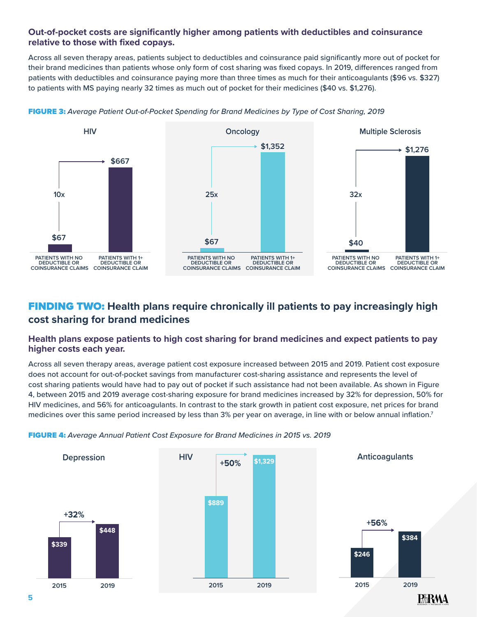### **Out-of-pocket costs are significantly higher among patients with deductibles and coinsurance relative to those with fixed copays.**

Across all seven therapy areas, patients subject to deductibles and coinsurance paid significantly more out of pocket for their brand medicines than patients whose only form of cost sharing was fixed copays. In 2019, differences ranged from patients with deductibles and coinsurance paying more than three times as much for their anticoagulants (\$96 vs. \$327) to patients with MS paying nearly 32 times as much out of pocket for their medicines (\$40 vs. \$1,276).



FIGURE 3: *Average Patient Out-of-Pocket Spending for Brand Medicines by Type of Cost Sharing, 2019*

## FINDING TWO: **Health plans require chronically ill patients to pay increasingly high cost sharing for brand medicines**

### **Health plans expose patients to high cost sharing for brand medicines and expect patients to pay higher costs each year.**

Across all seven therapy areas, average patient cost exposure increased between 2015 and 2019. Patient cost exposure does not account for out-of-pocket savings from manufacturer cost-sharing assistance and represents the level of cost sharing patients would have had to pay out of pocket if such assistance had not been available. As shown in Figure 4, between 2015 and 2019 average cost-sharing exposure for brand medicines increased by 32% for depression, 50% for HIV medicines, and 56% for anticoagulants. In contrast to the stark growth in patient cost exposure, net prices for brand medicines over this same period increased by less than 3% per year on average, in line with or below annual inflation.<sup>7</sup>



FIGURE 4: *Average Annual Patient Cost Exposure for Brand Medicines in 2015 vs. 2019*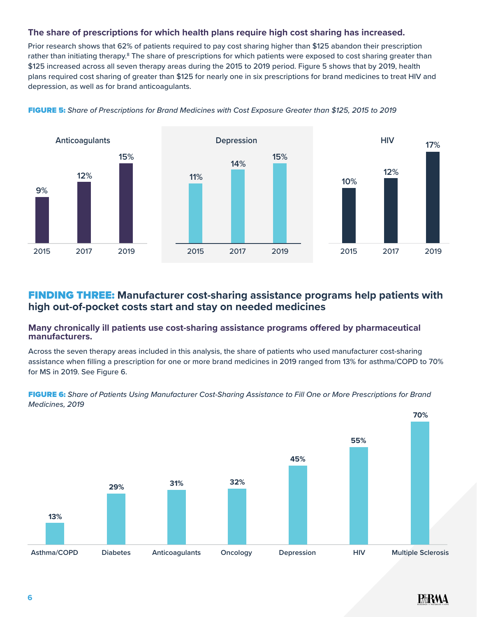### **The share of prescriptions for which health plans require high cost sharing has increased.**

Prior research shows that 62% of patients required to pay cost sharing higher than \$125 abandon their prescription rather than initiating therapy.<sup>8</sup> The share of prescriptions for which patients were exposed to cost sharing greater than \$125 increased across all seven therapy areas during the 2015 to 2019 period. Figure 5 shows that by 2019, health plans required cost sharing of greater than \$125 for nearly one in six prescriptions for brand medicines to treat HIV and depression, as well as for brand anticoagulants.



FIGURE 5: *Share of Prescriptions for Brand Medicines with Cost Exposure Greater than \$125, 2015 to 2019*

### FINDING THREE: **Manufacturer cost-sharing assistance programs help patients with high out-of-pocket costs start and stay on needed medicines**

#### **Many chronically ill patients use cost-sharing assistance programs offered by pharmaceutical manufacturers.**

Across the seven therapy areas included in this analysis, the share of patients who used manufacturer cost-sharing assistance when filling a prescription for one or more brand medicines in 2019 ranged from 13% for asthma/COPD to 70% for MS in 2019. See Figure 6.



FIGURE 6: *Share of Patients Using Manufacturer Cost-Sharing Assistance to Fill One or More Prescriptions for Brand Medicines, 2019*

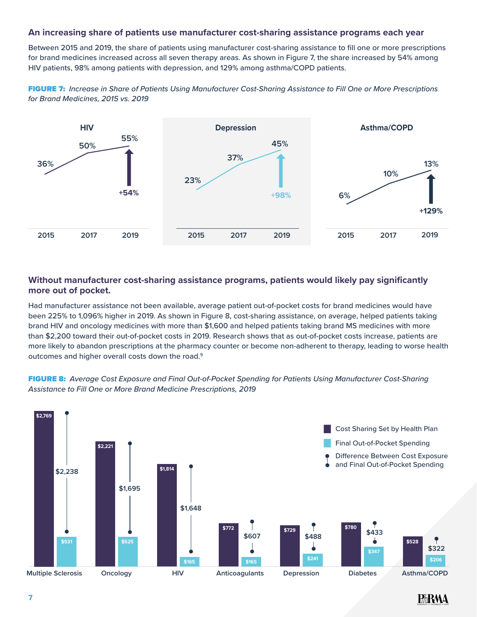### **An increasing share of patients use manufacturer cost-sharing assistance programs each year**

Between 2015 and 2019, the share of patients using manufacturer cost-sharing assistance to fill one or more prescriptions for brand medicines increased across all seven therapy areas. As shown in Figure 7, the share increased by 54% among HIV patients, 98% among patients with depression, and 129% among asthma/COPD patients.





#### **Without manufacturer cost-sharing assistance programs, patients would likely pay significantly more out of pocket.**

Had manufacturer assistance not been available, average patient out-of-pocket costs for brand medicines would have been 225% to 1,096% higher in 2019. As shown in Figure 8, cost-sharing assistance, on average, helped patients taking brand HIV and oncology medicines with more than \$1,600 and helped patients taking brand MS medicines with more than \$2,200 toward their out-of-pocket costs in 2019. Research shows that as out-of-pocket costs increase, patients are more likely to abandon prescriptions at the pharmacy counter or become non-adherent to therapy, leading to worse health outcomes and higher overall costs down the road.<sup>9</sup>



**Multiple Sclerosis Oncology HIV Anticoagulants Depression Diabetes Asthma/COPD**

FIGURE 8: *Average Cost Exposure and Final Out-of-Pocket Spending for Patients Using Manufacturer Cost-Sharing Assistance to Fill One or More Brand Medicine Prescriptions, 2019*

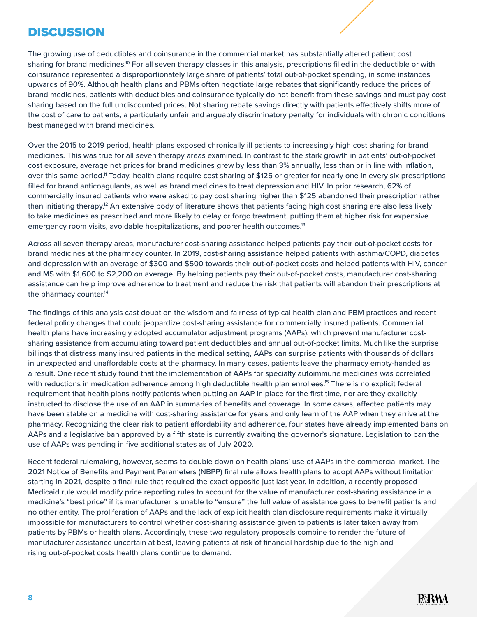## DISCUSSION

The growing use of deductibles and coinsurance in the commercial market has substantially altered patient cost sharing for brand medicines.<sup>10</sup> For all seven therapy classes in this analysis, prescriptions filled in the deductible or with coinsurance represented a disproportionately large share of patients' total out-of-pocket spending, in some instances upwards of 90%. Although health plans and PBMs often negotiate large rebates that significantly reduce the prices of brand medicines, patients with deductibles and coinsurance typically do not benefit from these savings and must pay cost sharing based on the full undiscounted prices. Not sharing rebate savings directly with patients effectively shifts more of the cost of care to patients, a particularly unfair and arguably discriminatory penalty for individuals with chronic conditions best managed with brand medicines.

Over the 2015 to 2019 period, health plans exposed chronically ill patients to increasingly high cost sharing for brand medicines. This was true for all seven therapy areas examined. In contrast to the stark growth in patients' out-of-pocket cost exposure, average net prices for brand medicines grew by less than 3% annually, less than or in line with inflation, over this same period.<sup>11</sup> Today, health plans require cost sharing of \$125 or greater for nearly one in every six prescriptions filled for brand anticoagulants, as well as brand medicines to treat depression and HIV. In prior research, 62% of commercially insured patients who were asked to pay cost sharing higher than \$125 abandoned their prescription rather than initiating therapy.<sup>12</sup> An extensive body of literature shows that patients facing high cost sharing are also less likely to take medicines as prescribed and more likely to delay or forgo treatment, putting them at higher risk for expensive emergency room visits, avoidable hospitalizations, and poorer health outcomes.<sup>13</sup>

Across all seven therapy areas, manufacturer cost-sharing assistance helped patients pay their out-of-pocket costs for brand medicines at the pharmacy counter. In 2019, cost-sharing assistance helped patients with asthma/COPD, diabetes and depression with an average of \$300 and \$500 towards their out-of-pocket costs and helped patients with HIV, cancer and MS with \$1,600 to \$2,200 on average. By helping patients pay their out-of-pocket costs, manufacturer cost-sharing assistance can help improve adherence to treatment and reduce the risk that patients will abandon their prescriptions at the pharmacy counter.<sup>14</sup>

The findings of this analysis cast doubt on the wisdom and fairness of typical health plan and PBM practices and recent federal policy changes that could jeopardize cost-sharing assistance for commercially insured patients. Commercial health plans have increasingly adopted accumulator adjustment programs (AAPs), which prevent manufacturer costsharing assistance from accumulating toward patient deductibles and annual out-of-pocket limits. Much like the surprise billings that distress many insured patients in the medical setting, AAPs can surprise patients with thousands of dollars in unexpected and unaffordable costs at the pharmacy. In many cases, patients leave the pharmacy empty-handed as a result. One recent study found that the implementation of AAPs for specialty autoimmune medicines was correlated with reductions in medication adherence among high deductible health plan enrollees.<sup>15</sup> There is no explicit federal requirement that health plans notify patients when putting an AAP in place for the first time, nor are they explicitly instructed to disclose the use of an AAP in summaries of benefits and coverage. In some cases, affected patients may have been stable on a medicine with cost-sharing assistance for years and only learn of the AAP when they arrive at the pharmacy. Recognizing the clear risk to patient affordability and adherence, four states have already implemented bans on AAPs and a legislative ban approved by a fifth state is currently awaiting the governor's signature. Legislation to ban the use of AAPs was pending in five additional states as of July 2020.

Recent federal rulemaking, however, seems to double down on health plans' use of AAPs in the commercial market. The 2021 Notice of Benefits and Payment Parameters (NBPP) final rule allows health plans to adopt AAPs without limitation starting in 2021, despite a final rule that required the exact opposite just last year. In addition, a recently proposed Medicaid rule would modify price reporting rules to account for the value of manufacturer cost-sharing assistance in a medicine's "best price" if its manufacturer is unable to "ensure" the full value of assistance goes to benefit patients and no other entity. The proliferation of AAPs and the lack of explicit health plan disclosure requirements make it virtually impossible for manufacturers to control whether cost-sharing assistance given to patients is later taken away from patients by PBMs or health plans. Accordingly, these two regulatory proposals combine to render the future of manufacturer assistance uncertain at best, leaving patients at risk of financial hardship due to the high and rising out-of-pocket costs health plans continue to demand.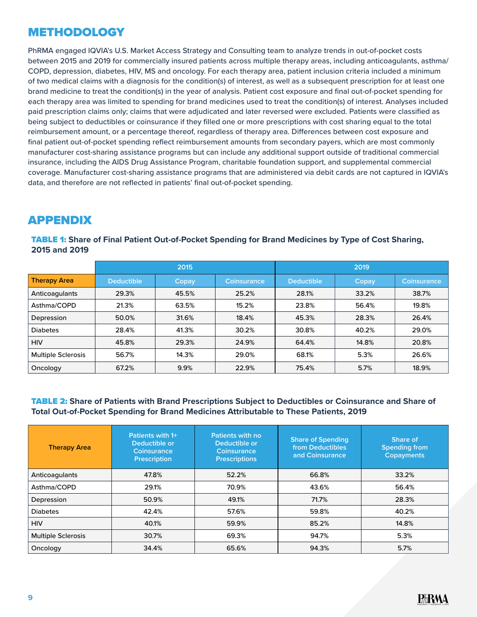## METHODOLOGY

PhRMA engaged IQVIA's U.S. Market Access Strategy and Consulting team to analyze trends in out-of-pocket costs between 2015 and 2019 for commercially insured patients across multiple therapy areas, including anticoagulants, asthma/ COPD, depression, diabetes, HIV, MS and oncology. For each therapy area, patient inclusion criteria included a minimum of two medical claims with a diagnosis for the condition(s) of interest, as well as a subsequent prescription for at least one brand medicine to treat the condition(s) in the year of analysis. Patient cost exposure and final out-of-pocket spending for each therapy area was limited to spending for brand medicines used to treat the condition(s) of interest. Analyses included paid prescription claims only; claims that were adjudicated and later reversed were excluded. Patients were classified as being subject to deductibles or coinsurance if they filled one or more prescriptions with cost sharing equal to the total reimbursement amount, or a percentage thereof, regardless of therapy area. Differences between cost exposure and final patient out-of-pocket spending reflect reimbursement amounts from secondary payers, which are most commonly manufacturer cost-sharing assistance programs but can include any additional support outside of traditional commercial insurance, including the AIDS Drug Assistance Program, charitable foundation support, and supplemental commercial coverage. Manufacturer cost-sharing assistance programs that are administered via debit cards are not captured in IQVIA's data, and therefore are not reflected in patients' final out-of-pocket spending.

## APPENDIX

| <b>TABLE 1:</b> Share of Final Patient Out-of-Pocket Spending for Brand Medicines by Type of Cost Sharing, |  |
|------------------------------------------------------------------------------------------------------------|--|
| 2015 and 2019                                                                                              |  |

|                           | 2015              |       |             | 2019              |       |             |
|---------------------------|-------------------|-------|-------------|-------------------|-------|-------------|
| <b>Therapy Area</b>       | <b>Deductible</b> | Copay | Coinsurance | <b>Deductible</b> | Copay | Coinsurance |
| Anticoagulants            | 29.3%             | 45.5% | 25.2%       | 28.1%             | 33.2% | 38.7%       |
| Asthma/COPD               | 21.3%             | 63.5% | 15.2%       | 23.8%             | 56.4% | 19.8%       |
| Depression                | 50.0%             | 31.6% | 18.4%       | 45.3%             | 28.3% | 26.4%       |
| <b>Diabetes</b>           | 28.4%             | 41.3% | 30.2%       | 30.8%             | 40.2% | 29.0%       |
| <b>HIV</b>                | 45.8%             | 29.3% | 24.9%       | 64.4%             | 14.8% | 20.8%       |
| <b>Multiple Sclerosis</b> | 56.7%             | 14.3% | 29.0%       | 68.1%             | 5.3%  | 26.6%       |
| Oncology                  | 67.2%             | 9.9%  | 22.9%       | 75.4%             | 5.7%  | 18.9%       |

### TABLE 2: **Share of Patients with Brand Prescriptions Subject to Deductibles or Coinsurance and Share of Total Out-of-Pocket Spending for Brand Medicines Attributable to These Patients, 2019**

| <b>Therapy Area</b>       | Patients with 1+<br>Deductible or<br>Coinsurance<br><b>Prescription</b> | Patients with no<br>Deductible or<br>Coinsurance<br><b>Prescriptions</b> | <b>Share of Spending</b><br>from Deductibles<br>and Coinsurance | Share of<br><b>Spending from</b><br><b>Copayments</b> |
|---------------------------|-------------------------------------------------------------------------|--------------------------------------------------------------------------|-----------------------------------------------------------------|-------------------------------------------------------|
| Anticoagulants            | 47.8%                                                                   | 52.2%                                                                    | 66.8%                                                           | 33.2%                                                 |
| Asthma/COPD               | 29.1%                                                                   | 70.9%                                                                    | 43.6%                                                           | 56.4%                                                 |
| Depression                | 50.9%                                                                   | 49.1%                                                                    | 71.7%                                                           | 28.3%                                                 |
| <b>Diabetes</b>           | 42.4%                                                                   | 57.6%                                                                    | 59.8%                                                           | 40.2%                                                 |
| <b>HIV</b>                | 40.1%                                                                   | 59.9%                                                                    | 85.2%                                                           | 14.8%                                                 |
| <b>Multiple Sclerosis</b> | 30.7%                                                                   | 69.3%                                                                    | 94.7%                                                           | 5.3%                                                  |
| Oncology                  | 34.4%                                                                   | 65.6%                                                                    | 94.3%                                                           | 5.7%                                                  |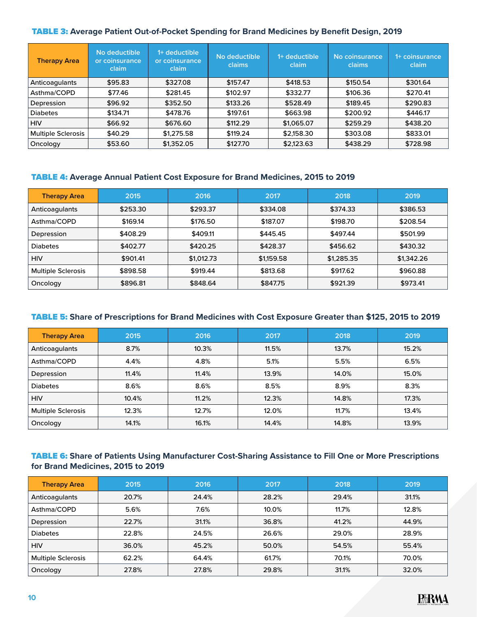### TABLE 3: **Average Patient Out-of-Pocket Spending for Brand Medicines by Benefit Design, 2019**

| <b>Therapy Area</b>       | No deductible<br>or coinsurance<br>claim | 1+ deductible<br>or coinsurance<br>claim | No deductible<br>claims | 1+ deductible<br>claim | No coinsurance<br>claims | 1+ coinsurance<br>claim |
|---------------------------|------------------------------------------|------------------------------------------|-------------------------|------------------------|--------------------------|-------------------------|
| Anticoagulants            | \$95.83                                  | \$327.08                                 | \$157.47                | \$418.53               | \$150.54                 | \$301.64                |
| Asthma/COPD               | \$77.46                                  | \$281.45                                 | \$102.97                | \$332.77               | \$106.36                 | \$270.41                |
| Depression                | \$96.92                                  | \$352.50                                 | \$133.26                | \$528.49               | \$189.45                 | \$290.83                |
| <b>Diabetes</b>           | \$134.71                                 | \$478.76                                 | \$197.61                | \$663.98               | \$200.92                 | \$446.17                |
| <b>HIV</b>                | \$66.92                                  | \$676.60                                 | \$112.29                | \$1,065.07             | \$259.29                 | \$438.20                |
| <b>Multiple Sclerosis</b> | \$40.29                                  | \$1,275.58                               | \$119.24                | \$2,158.30             | \$303.08                 | \$833.01                |
| Oncology                  | \$53.60                                  | \$1.352.05                               | \$127.70                | \$2,123.63             | \$438.29                 | \$728.98                |

#### TABLE 4: **Average Annual Patient Cost Exposure for Brand Medicines, 2015 to 2019**

| <b>Therapy Area</b>       | 2015     | 2016       | 2017       | 2018       | 2019       |
|---------------------------|----------|------------|------------|------------|------------|
| Anticoagulants            | \$253.30 | \$293.37   | \$334.08   | \$374.33   | \$386.53   |
| Asthma/COPD               | \$169.14 | \$176.50   | \$187.07   | \$198.70   | \$208.54   |
| Depression                | \$408.29 | \$409.11   | \$445.45   | \$497.44   | \$501.99   |
| <b>Diabetes</b>           | \$402.77 | \$420.25   | \$428.37   | \$456.62   | \$430.32   |
| <b>HIV</b>                | \$901.41 | \$1,012.73 | \$1,159.58 | \$1,285.35 | \$1,342.26 |
| <b>Multiple Sclerosis</b> | \$898.58 | \$919.44   | \$813.68   | \$917.62   | \$960.88   |
| Oncology                  | \$896.81 | \$848.64   | \$847.75   | \$921.39   | \$973.41   |

### TABLE 5: **Share of Prescriptions for Brand Medicines with Cost Exposure Greater than \$125, 2015 to 2019**

| <b>Therapy Area</b>       | 2015  | 2016  | 2017  | 2018  | 2019  |
|---------------------------|-------|-------|-------|-------|-------|
| Anticoagulants            | 8.7%  | 10.3% | 11.5% | 13.7% | 15.2% |
| Asthma/COPD               | 4.4%  | 4.8%  | 5.1%  | 5.5%  | 6.5%  |
| Depression                | 11.4% | 11.4% | 13.9% | 14.0% | 15.0% |
| <b>Diabetes</b>           | 8.6%  | 8.6%  | 8.5%  | 8.9%  | 8.3%  |
| <b>HIV</b>                | 10.4% | 11.2% | 12.3% | 14.8% | 17.3% |
| <b>Multiple Sclerosis</b> | 12.3% | 12.7% | 12.0% | 11.7% | 13.4% |
| Oncology                  | 14.1% | 16.1% | 14.4% | 14.8% | 13.9% |

### TABLE 6: **Share of Patients Using Manufacturer Cost-Sharing Assistance to Fill One or More Prescriptions for Brand Medicines, 2015 to 2019**

| <b>Therapy Area</b>       | 2015  | 2016  | 2017  | 2018  | 2019  |
|---------------------------|-------|-------|-------|-------|-------|
| Anticoagulants            | 20.7% | 24.4% | 28.2% | 29.4% | 31.1% |
| Asthma/COPD               | 5.6%  | 7.6%  | 10.0% | 11.7% | 12.8% |
| Depression                | 22.7% | 31.1% | 36.8% | 41.2% | 44.9% |
| <b>Diabetes</b>           | 22.8% | 24.5% | 26.6% | 29.0% | 28.9% |
| <b>HIV</b>                | 36.0% | 45.2% | 50.0% | 54.5% | 55.4% |
| <b>Multiple Sclerosis</b> | 62.2% | 64.4% | 61.7% | 70.1% | 70.0% |
| Oncology                  | 27.8% | 27.8% | 29.8% | 31.1% | 32.0% |